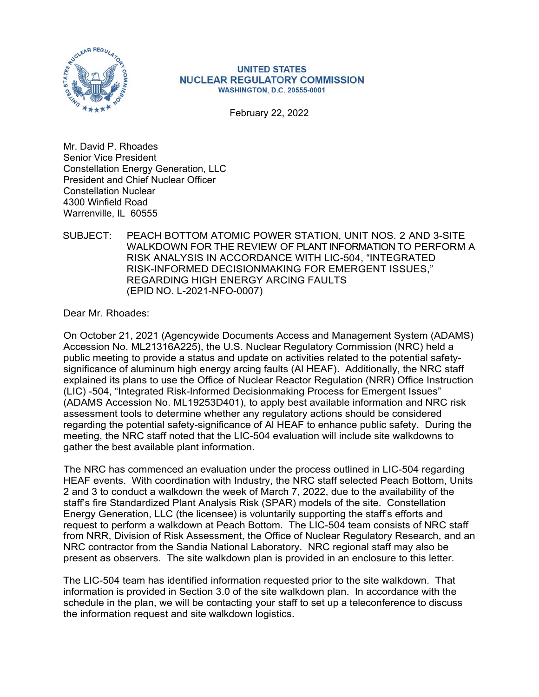

#### UNITED STATES NUCLEAR REGULATORY COMMISSION WASHINGTON, D.C. 20555-0001

February 22, 2022

Mr. David P. Rhoades Senior Vice President Constellation Energy Generation, LLC President and Chief Nuclear Officer Constellation Nuclear 4300 Winfield Road Warrenville, IL 60555

#### SUBJECT: PEACH BOTTOM ATOMIC POWER STATION, UNIT NOS. 2 AND 3-SITE WALKDOWN FOR THE REVIEW OF PLANT INFORMATION TO PERFORM A RISK ANALYSIS IN ACCORDANCE WITH LIC-504, "INTEGRATED RISK-INFORMED DECISIONMAKING FOR EMERGENT ISSUES," REGARDING HIGH ENERGY ARCING FAULTS (EPID NO. L-2021-NFO-0007)

Dear Mr. Rhoades:

On October 21, 2021 (Agencywide Documents Access and Management System (ADAMS) Accession No. ML21316A225), the U.S. Nuclear Regulatory Commission (NRC) held a public meeting to provide a status and update on activities related to the potential safetysignificance of aluminum high energy arcing faults (Al HEAF). Additionally, the NRC staff explained its plans to use the Office of Nuclear Reactor Regulation (NRR) Office Instruction (LIC) -504, "Integrated Risk-Informed Decisionmaking Process for Emergent Issues" (ADAMS Accession No. ML19253D401), to apply best available information and NRC risk assessment tools to determine whether any regulatory actions should be considered regarding the potential safety-significance of Al HEAF to enhance public safety. During the meeting, the NRC staff noted that the LIC-504 evaluation will include site walkdowns to gather the best available plant information.

The NRC has commenced an evaluation under the process outlined in LIC-504 regarding HEAF events. With coordination with Industry, the NRC staff selected Peach Bottom, Units 2 and 3 to conduct a walkdown the week of March 7, 2022, due to the availability of the staff's fire Standardized Plant Analysis Risk (SPAR) models of the site. Constellation Energy Generation, LLC (the licensee) is voluntarily supporting the staff's efforts and request to perform a walkdown at Peach Bottom. The LIC-504 team consists of NRC staff from NRR, Division of Risk Assessment, the Office of Nuclear Regulatory Research, and an NRC contractor from the Sandia National Laboratory. NRC regional staff may also be present as observers. The site walkdown plan is provided in an enclosure to this letter.

The LIC-504 team has identified information requested prior to the site walkdown. That information is provided in Section 3.0 of the site walkdown plan. In accordance with the schedule in the plan, we will be contacting your staff to set up a teleconference to discuss the information request and site walkdown logistics.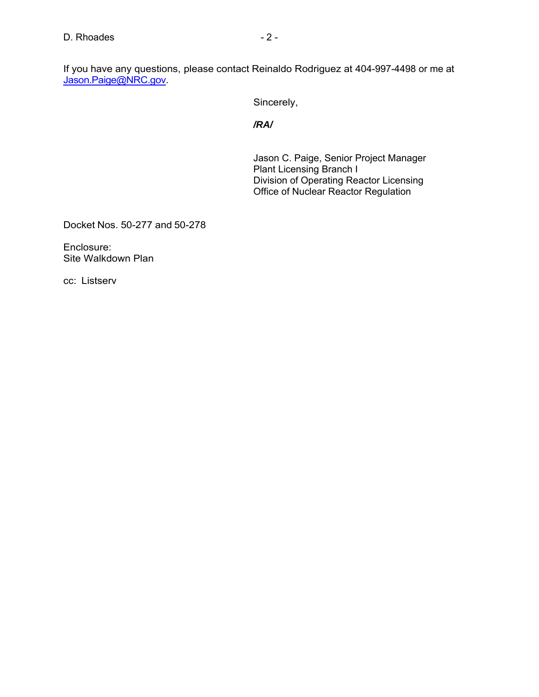Sincerely,

*/RA/* 

Jason C. Paige, Senior Project Manager Plant Licensing Branch I Division of Operating Reactor Licensing Office of Nuclear Reactor Regulation

Docket Nos. 50-277 and 50-278

Enclosure: Site Walkdown Plan

cc: Listserv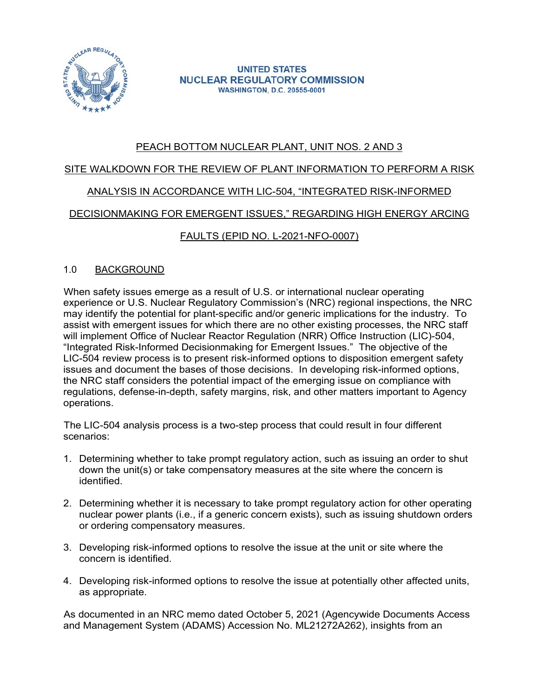

**UNITED STATES NUCLEAR REGULATORY COMMISSION WASHINGTON, D.C. 20555-0001** 

# PEACH BOTTOM NUCLEAR PLANT, UNIT NOS. 2 AND 3

# SITE WALKDOWN FOR THE REVIEW OF PLANT INFORMATION TO PERFORM A RISK

## ANALYSIS IN ACCORDANCE WITH LIC-504, "INTEGRATED RISK-INFORMED

## DECISIONMAKING FOR EMERGENT ISSUES," REGARDING HIGH ENERGY ARCING

# FAULTS (EPID NO. L-2021-NFO-0007)

#### 1.0 BACKGROUND

When safety issues emerge as a result of U.S. or international nuclear operating experience or U.S. Nuclear Regulatory Commission's (NRC) regional inspections, the NRC may identify the potential for plant-specific and/or generic implications for the industry. To assist with emergent issues for which there are no other existing processes, the NRC staff will implement Office of Nuclear Reactor Regulation (NRR) Office Instruction (LIC)-504, "Integrated Risk-Informed Decisionmaking for Emergent Issues." The objective of the LIC-504 review process is to present risk-informed options to disposition emergent safety issues and document the bases of those decisions. In developing risk-informed options, the NRC staff considers the potential impact of the emerging issue on compliance with regulations, defense-in-depth, safety margins, risk, and other matters important to Agency operations.

The LIC-504 analysis process is a two-step process that could result in four different scenarios:

- 1. Determining whether to take prompt regulatory action, such as issuing an order to shut down the unit(s) or take compensatory measures at the site where the concern is identified.
- 2. Determining whether it is necessary to take prompt regulatory action for other operating nuclear power plants (i.e., if a generic concern exists), such as issuing shutdown orders or ordering compensatory measures.
- 3. Developing risk-informed options to resolve the issue at the unit or site where the concern is identified.
- 4. Developing risk-informed options to resolve the issue at potentially other affected units, as appropriate.

As documented in an NRC memo dated October 5, 2021 (Agencywide Documents Access and Management System (ADAMS) Accession No. ML21272A262), insights from an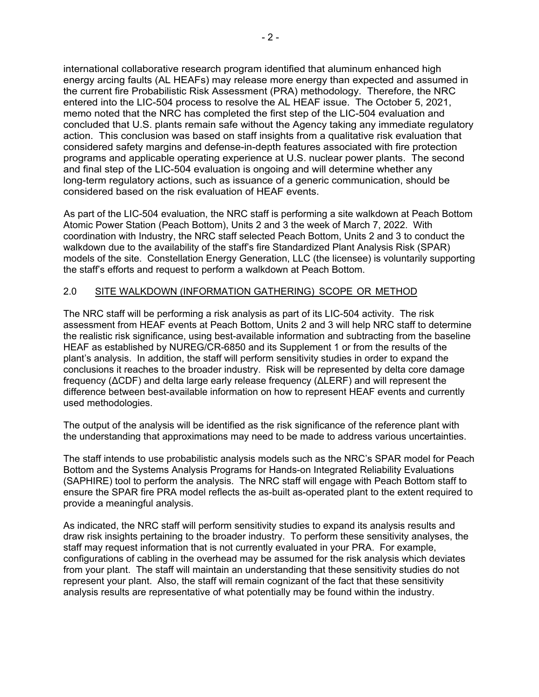international collaborative research program identified that aluminum enhanced high energy arcing faults (AL HEAFs) may release more energy than expected and assumed in the current fire Probabilistic Risk Assessment (PRA) methodology. Therefore, the NRC entered into the LIC-504 process to resolve the AL HEAF issue. The October 5, 2021, memo noted that the NRC has completed the first step of the LIC-504 evaluation and concluded that U.S. plants remain safe without the Agency taking any immediate regulatory action. This conclusion was based on staff insights from a qualitative risk evaluation that considered safety margins and defense-in-depth features associated with fire protection programs and applicable operating experience at U.S. nuclear power plants. The second and final step of the LIC-504 evaluation is ongoing and will determine whether any long-term regulatory actions, such as issuance of a generic communication, should be considered based on the risk evaluation of HEAF events.

As part of the LIC-504 evaluation, the NRC staff is performing a site walkdown at Peach Bottom Atomic Power Station (Peach Bottom), Units 2 and 3 the week of March 7, 2022. With coordination with Industry, the NRC staff selected Peach Bottom, Units 2 and 3 to conduct the walkdown due to the availability of the staff's fire Standardized Plant Analysis Risk (SPAR) models of the site. Constellation Energy Generation, LLC (the licensee) is voluntarily supporting the staff's efforts and request to perform a walkdown at Peach Bottom.

#### 2.0 SITE WALKDOWN (INFORMATION GATHERING) SCOPE OR METHOD

The NRC staff will be performing a risk analysis as part of its LIC-504 activity. The risk assessment from HEAF events at Peach Bottom, Units 2 and 3 will help NRC staff to determine the realistic risk significance, using best-available information and subtracting from the baseline HEAF as established by NUREG/CR-6850 and its Supplement 1 or from the results of the plant's analysis. In addition, the staff will perform sensitivity studies in order to expand the conclusions it reaches to the broader industry. Risk will be represented by delta core damage frequency (ΔCDF) and delta large early release frequency (ΔLERF) and will represent the difference between best-available information on how to represent HEAF events and currently used methodologies.

The output of the analysis will be identified as the risk significance of the reference plant with the understanding that approximations may need to be made to address various uncertainties.

The staff intends to use probabilistic analysis models such as the NRC's SPAR model for Peach Bottom and the Systems Analysis Programs for Hands-on Integrated Reliability Evaluations (SAPHIRE) tool to perform the analysis. The NRC staff will engage with Peach Bottom staff to ensure the SPAR fire PRA model reflects the as-built as-operated plant to the extent required to provide a meaningful analysis.

As indicated, the NRC staff will perform sensitivity studies to expand its analysis results and draw risk insights pertaining to the broader industry. To perform these sensitivity analyses, the staff may request information that is not currently evaluated in your PRA. For example, configurations of cabling in the overhead may be assumed for the risk analysis which deviates from your plant. The staff will maintain an understanding that these sensitivity studies do not represent your plant. Also, the staff will remain cognizant of the fact that these sensitivity analysis results are representative of what potentially may be found within the industry.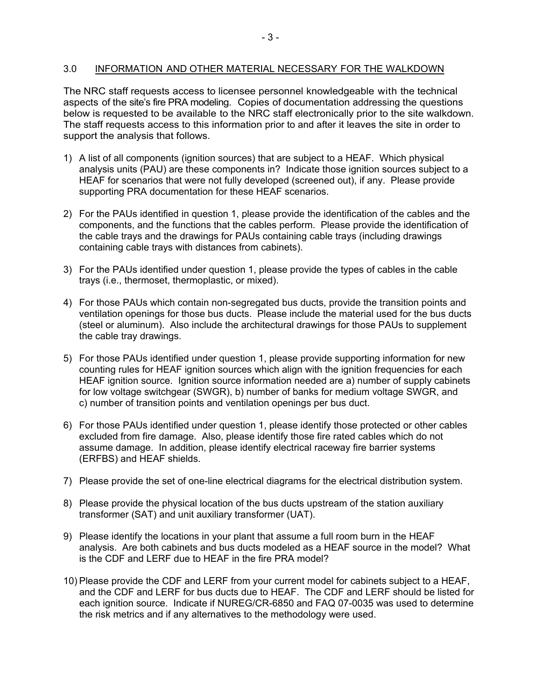#### 3.0 INFORMATION AND OTHER MATERIAL NECESSARY FOR THE WALKDOWN

The NRC staff requests access to licensee personnel knowledgeable with the technical aspects of the site's fire PRA modeling. Copies of documentation addressing the questions below is requested to be available to the NRC staff electronically prior to the site walkdown. The staff requests access to this information prior to and after it leaves the site in order to support the analysis that follows.

- 1) A list of all components (ignition sources) that are subject to a HEAF. Which physical analysis units (PAU) are these components in? Indicate those ignition sources subject to a HEAF for scenarios that were not fully developed (screened out), if any. Please provide supporting PRA documentation for these HEAF scenarios.
- 2) For the PAUs identified in question 1, please provide the identification of the cables and the components, and the functions that the cables perform. Please provide the identification of the cable trays and the drawings for PAUs containing cable trays (including drawings containing cable trays with distances from cabinets).
- 3) For the PAUs identified under question 1, please provide the types of cables in the cable trays (i.e., thermoset, thermoplastic, or mixed).
- 4) For those PAUs which contain non-segregated bus ducts, provide the transition points and ventilation openings for those bus ducts. Please include the material used for the bus ducts (steel or aluminum). Also include the architectural drawings for those PAUs to supplement the cable tray drawings.
- 5) For those PAUs identified under question 1, please provide supporting information for new counting rules for HEAF ignition sources which align with the ignition frequencies for each HEAF ignition source. Ignition source information needed are a) number of supply cabinets for low voltage switchgear (SWGR), b) number of banks for medium voltage SWGR, and c) number of transition points and ventilation openings per bus duct.
- 6) For those PAUs identified under question 1, please identify those protected or other cables excluded from fire damage. Also, please identify those fire rated cables which do not assume damage. In addition, please identify electrical raceway fire barrier systems (ERFBS) and HEAF shields.
- 7) Please provide the set of one-line electrical diagrams for the electrical distribution system.
- 8) Please provide the physical location of the bus ducts upstream of the station auxiliary transformer (SAT) and unit auxiliary transformer (UAT).
- 9) Please identify the locations in your plant that assume a full room burn in the HEAF analysis. Are both cabinets and bus ducts modeled as a HEAF source in the model? What is the CDF and LERF due to HEAF in the fire PRA model?
- 10) Please provide the CDF and LERF from your current model for cabinets subject to a HEAF, and the CDF and LERF for bus ducts due to HEAF. The CDF and LERF should be listed for each ignition source. Indicate if NUREG/CR-6850 and FAQ 07-0035 was used to determine the risk metrics and if any alternatives to the methodology were used.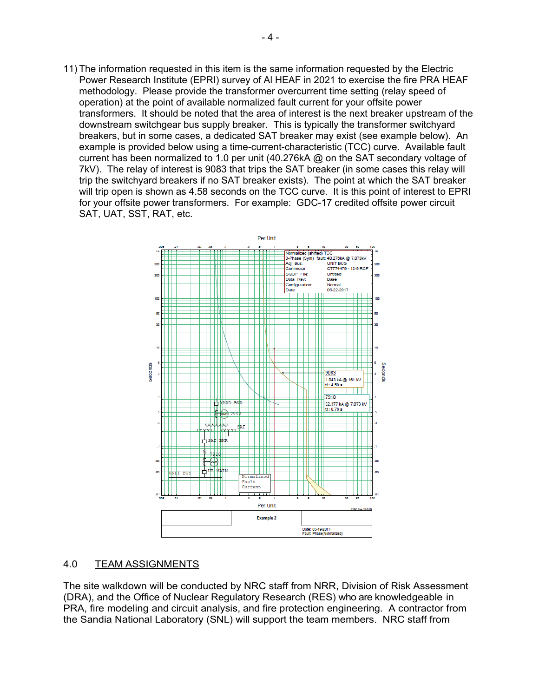11) The information requested in this item is the same information requested by the Electric Power Research Institute (EPRI) survey of Al HEAF in 2021 to exercise the fire PRA HEAF methodology. Please provide the transformer overcurrent time setting (relay speed of operation) at the point of available normalized fault current for your offsite power transformers. It should be noted that the area of interest is the next breaker upstream of the downstream switchgear bus supply breaker. This is typically the transformer switchyard breakers, but in some cases, a dedicated SAT breaker may exist (see example below). An example is provided below using a time-current-characteristic (TCC) curve. Available fault current has been normalized to 1.0 per unit (40.276kA @ on the SAT secondary voltage of 7kV). The relay of interest is 9083 that trips the SAT breaker (in some cases this relay will trip the switchyard breakers if no SAT breaker exists). The point at which the SAT breaker will trip open is shown as 4.58 seconds on the TCC curve. It is this point of interest to EPRI for your offsite power transformers. For example: GDC-17 credited offsite power circuit SAT, UAT, SST, RAT, etc.



#### 4.0 TEAM ASSIGNMENTS

The site walkdown will be conducted by NRC staff from NRR, Division of Risk Assessment (DRA), and the Office of Nuclear Regulatory Research (RES) who are knowledgeable in PRA, fire modeling and circuit analysis, and fire protection engineering. A contractor from the Sandia National Laboratory (SNL) will support the team members. NRC staff from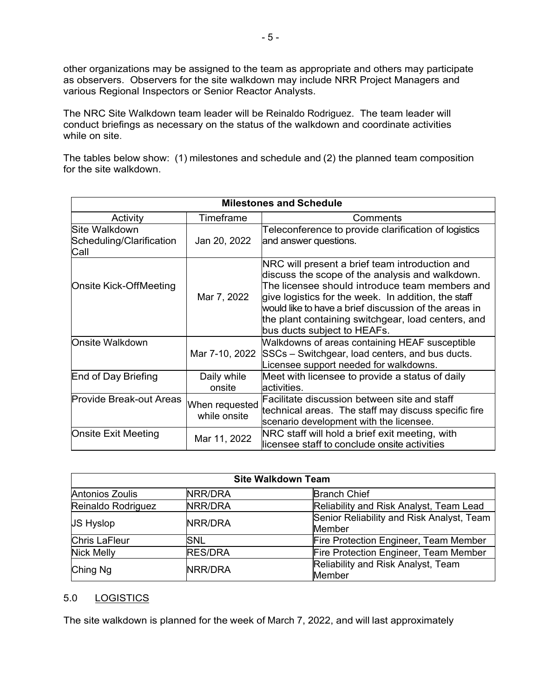other organizations may be assigned to the team as appropriate and others may participate as observers. Observers for the site walkdown may include NRR Project Managers and various Regional Inspectors or Senior Reactor Analysts.

The NRC Site Walkdown team leader will be Reinaldo Rodriguez. The team leader will conduct briefings as necessary on the status of the walkdown and coordinate activities while on site.

The tables below show: (1) milestones and schedule and (2) the planned team composition for the site walkdown.

| <b>Milestones and Schedule</b>             |                                |                                                                                                                                                                                                                                                                                                                                                          |  |  |
|--------------------------------------------|--------------------------------|----------------------------------------------------------------------------------------------------------------------------------------------------------------------------------------------------------------------------------------------------------------------------------------------------------------------------------------------------------|--|--|
| Activity                                   | Timeframe                      | Comments                                                                                                                                                                                                                                                                                                                                                 |  |  |
| lSite Walkdown<br>Scheduling/Clarification | Jan 20, 2022                   | Teleconference to provide clarification of logistics<br>and answer questions.                                                                                                                                                                                                                                                                            |  |  |
| Call                                       |                                |                                                                                                                                                                                                                                                                                                                                                          |  |  |
| <b>Onsite Kick-OffMeeting</b>              | Mar 7, 2022                    | NRC will present a brief team introduction and<br>discuss the scope of the analysis and walkdown.<br>The licensee should introduce team members and<br>give logistics for the week. In addition, the staff<br>would like to have a brief discussion of the areas in<br>the plant containing switchgear, load centers, and<br>bus ducts subject to HEAFs. |  |  |
| Onsite Walkdown                            | Mar 7-10, 2022                 | Walkdowns of areas containing HEAF susceptible<br>SSCs - Switchgear, load centers, and bus ducts.<br>Licensee support needed for walkdowns.                                                                                                                                                                                                              |  |  |
| End of Day Briefing                        | Daily while<br>onsite          | Meet with licensee to provide a status of daily<br>lactivities.                                                                                                                                                                                                                                                                                          |  |  |
| <b>Provide Break-out Areas</b>             | When requested<br>while onsite | Facilitate discussion between site and staff<br>technical areas. The staff may discuss specific fire<br>scenario development with the licensee.                                                                                                                                                                                                          |  |  |
| Onsite Exit Meeting                        | Mar 11, 2022                   | NRC staff will hold a brief exit meeting, with<br>licensee staff to conclude onsite activities                                                                                                                                                                                                                                                           |  |  |

| <b>Site Walkdown Team</b> |                |                                                     |  |  |
|---------------------------|----------------|-----------------------------------------------------|--|--|
| Antonios Zoulis           | NRR/DRA        | <b>Branch Chief</b>                                 |  |  |
| Reinaldo Rodriguez        | NRR/DRA        | Reliability and Risk Analyst, Team Lead             |  |  |
| <b>JS Hyslop</b>          | NRR/DRA        | Senior Reliability and Risk Analyst, Team<br>Member |  |  |
| Chris LaFleur             | SNL            | Fire Protection Engineer, Team Member               |  |  |
| Nick Melly                | <b>RES/DRA</b> | Fire Protection Engineer, Team Member               |  |  |
| Ching Ng                  | NRR/DRA        | Reliability and Risk Analyst, Team<br>Member        |  |  |

### 5.0 LOGISTICS

The site walkdown is planned for the week of March 7, 2022, and will last approximately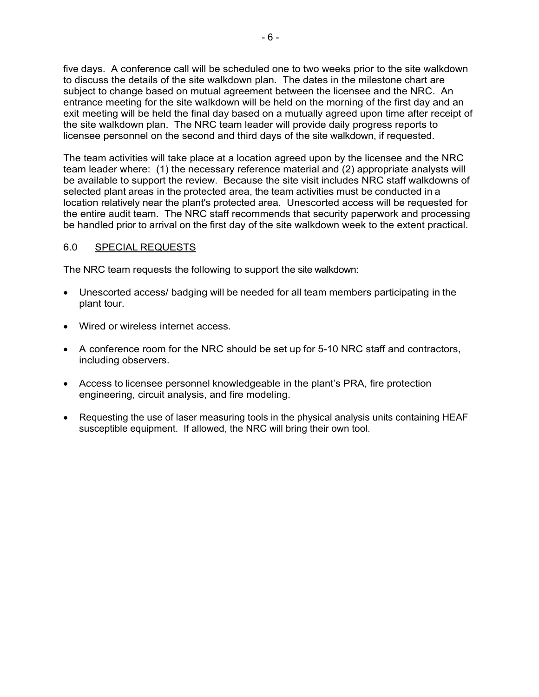five days. A conference call will be scheduled one to two weeks prior to the site walkdown to discuss the details of the site walkdown plan. The dates in the milestone chart are subject to change based on mutual agreement between the licensee and the NRC. An entrance meeting for the site walkdown will be held on the morning of the first day and an exit meeting will be held the final day based on a mutually agreed upon time after receipt of the site walkdown plan. The NRC team leader will provide daily progress reports to licensee personnel on the second and third days of the site walkdown, if requested.

The team activities will take place at a location agreed upon by the licensee and the NRC team leader where: (1) the necessary reference material and (2) appropriate analysts will be available to support the review. Because the site visit includes NRC staff walkdowns of selected plant areas in the protected area, the team activities must be conducted in a location relatively near the plant's protected area. Unescorted access will be requested for the entire audit team. The NRC staff recommends that security paperwork and processing be handled prior to arrival on the first day of the site walkdown week to the extent practical.

#### 6.0 SPECIAL REQUESTS

The NRC team requests the following to support the site walkdown:

- Unescorted access/ badging will be needed for all team members participating in the plant tour.
- Wired or wireless internet access.
- A conference room for the NRC should be set up for 5-10 NRC staff and contractors, including observers.
- Access to licensee personnel knowledgeable in the plant's PRA, fire protection engineering, circuit analysis, and fire modeling.
- Requesting the use of laser measuring tools in the physical analysis units containing HEAF susceptible equipment. If allowed, the NRC will bring their own tool.